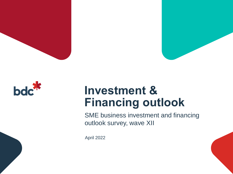





### **Investment & Financing outlook**

SME business investment and financing outlook survey, wave XII

April 2022

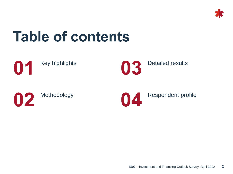

## **Table of contents**







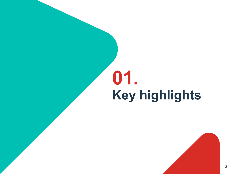# **Key highlights 01.**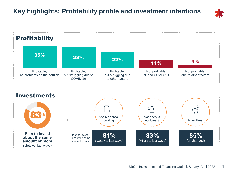### **Key highlights: Profitability profile and investment intentions**



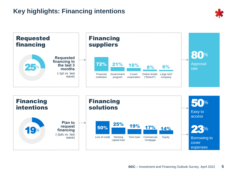### **Key highlights: Financing intentions**



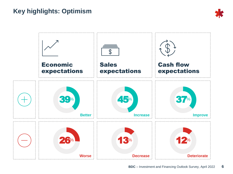### **Key highlights: Optimism**



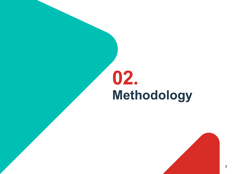# **Methodology 02.**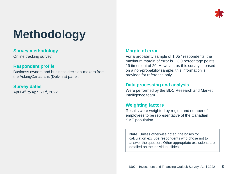

### **Methodology**

#### **Survey methodology**

Online tracking survey.

#### **Respondent profile**

Business owners and business decision-makers from the AskingCanadians (Delvinia) panel.

#### **Survey dates**

April 4th to April 21st, 2022.

#### **Margin of error**

For a probability sample of 1,057 respondents, the maximum margin of error is  $\pm$  3.0 percentage points, 19 times out of 20. However, as this survey is based on a non-probability sample, this information is provided for reference only.

#### **Data processing and analysis**

Were performed by the BDC Research and Market Intelligence team.

#### **Weighting factors**

Results were weighted by region and number of employees to be representative of the Canadian SME population.

**Note:** Unless otherwise noted, the bases for calculation exclude respondents who chose not to answer the question. Other appropriate exclusions are detailed on the individual slides.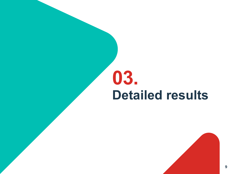## **Detailed results 03.**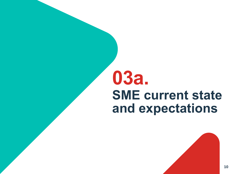## **SME current state and expectations 03a.**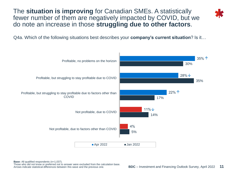The **situation is improving** for Canadian SMEs. A statistically fewer number of them are negatively impacted by COVID, but we do note an increase in those **struggling due to other factors**.

Q4a. Which of the following situations best describes your **company's current situation**? Is it…



**Base:** All qualified respondents (n=1,037).

Those who did not know or preferred not to answer were excluded from the calculation base. Arrows indicate statistical differences between this wave and the previous one.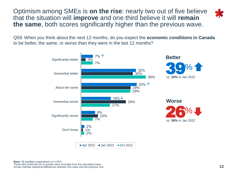Optimism among SMEs is **on the rise**: nearly two out of five believe that the situation will **improve** and one third believe it will **remain the same**, both scores significantly higher than the previous wave.



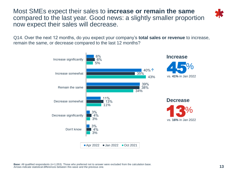Most SMEs expect their sales to **increase or remain the same** compared to the last year. Good news: a slightly smaller proportion now expect their sales will decrease.

Q14. Over the next 12 months, do you expect your company's **total sales or revenue** to increase, remain the same, or decrease compared to the last 12 months?

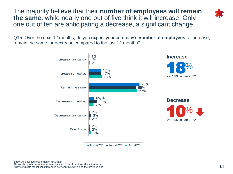The majority believe that their **number of employees will remain the same**, while nearly one out of five think it will increase. Only one out of ten are anticipating a decrease, a significant change.

Q15. Over the next 12 months, do you expect your company's **number of employees** to increase, remain the same, or decrease compared to the last 12 months?



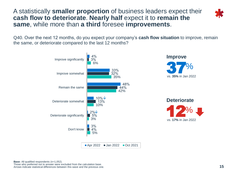A statistically **smaller proportion** of business leaders expect their **cash flow to deteriorate**. **Nearly half** expect it to **remain the same**, while more than **a third** foresee **improvements**.



Q40. Over the next 12 months, do you expect your company's **cash flow situation** to improve, remain the same, or deteriorate compared to the last 12 months?

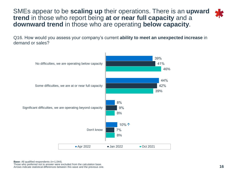SMEs appear to be **scaling up** their operations. There is an **upward trend** in those who report being **at or near full capacity** and a **downward trend** in those who are operating **below capacity**.

Q16. How would you assess your company's current **ability to meet an unexpected increase** in demand or sales?

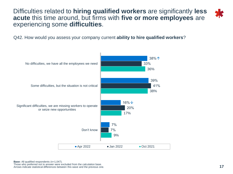Difficulties related to **hiring qualified workers** are significantly **less acute** this time around, but firms with **five or more employees** are experiencing some **difficulties**.



Q42. How would you assess your company current **ability to hire qualified workers**?

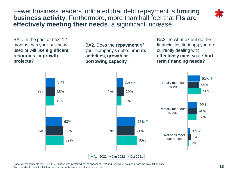Fewer business leaders indicated that debt repayment is **limiting business activity**. Furthermore, more than half feel that **FIs are effectively meeting their needs**, a significant increase.



BA1. In the past or next 12 months, has your business used or will use **significant resources** for **growth projects**?

BA2. Does the **repayment** of your company's debts **limit its activities, growth or borrowing capacity**?

BA3. To what extent do the financial institution(s) you are currently dealing with **effectively meet** your **shortterm financing needs**?



**B** – **B** – **EXECUTE OUTLOOK SURVEY, Apple 2022 <b>18 Base**: All respondents (n=979-1,057). Those who preferred not to answer at BA2 and BA3 were excluded from the calculation base. Arrows indicate statistical differences between this wave and the previous one.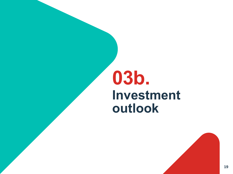## **Investment outlook 03b.**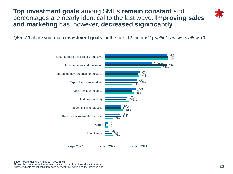**Top investment goals** among SMEs **remain constant** and percentages are nearly identical to the last wave. **Improving sales and marketing** has, however, **decreased significantly**.



Q55. What are your main **investment goals** for the next 12 months? *(multiple answers allowed)*



**Base:** Respondents planning to invest (n=557). Those who preferred not to answer were excluded from the calculation base. Arrows indicate statistical differences between this wave and the previous one.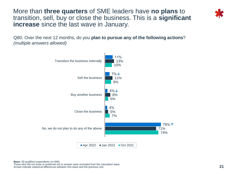More than **three quarters** of SME leaders have **no plans** to transition, sell, buy or close the business. This is a **significant increase** since the last wave in January.

Q80. Over the next 12 months, do you **plan to pursue any of the following actions**? *(multiple answers allowed)*

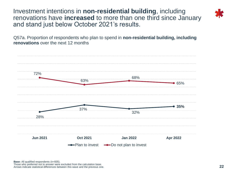Investment intentions in **non-residential building**, including renovations have **increased** to more than one third since January and stand just below October 2021's results.

Q57a. Proportion of respondents who plan to spend in **non-residential building, including renovations** over the next 12 months

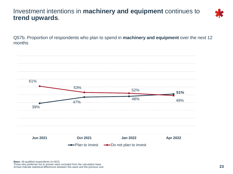#### Investment intentions in **machinery and equipment** continues to **trend upwards**.



Q57b. Proportion of respondents who plan to spend in **machinery and equipment** over the next 12 months

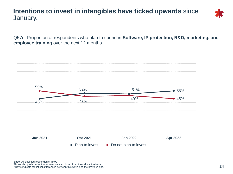#### **Intentions to invest in intangibles have ticked upwards** since January.



Q57c. Proportion of respondents who plan to spend in **Software, IP protection, R&D, marketing, and employee training** over the next 12 months

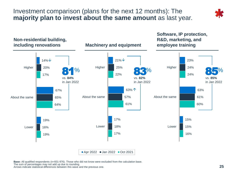Investment comparison (plans for the next 12 months): The **majority plan to invest about the same amount** as last year.





**BDC** – Investment and Financing Outlook Survey, April 2022 **25 Base:** All qualified respondents (n=931-976). Those who did not know were excluded from the calculation base. The sum of percentages may not add up due to rounding. Arrows indicate statistical differences between this wave and the previous one.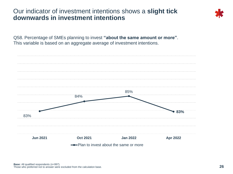#### Our indicator of investment intentions shows a **slight tick downwards in investment intentions**



Q58. Percentage of SMEs planning to invest **"about the same amount or more"**. This variable is based on an aggregate average of investment intentions.

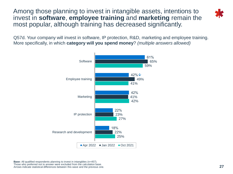Among those planning to invest in intangible assets, intentions to invest in **software**, **employee training** and **marketing** remain the most popular, although training has decreased significantly.

Q57d. Your company will invest in software, IP protection, R&D, marketing and employee training. More specifically, in which **category will you spend money**? *(multiple answers allowed)*



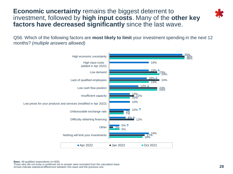**Economic uncertainty** remains the biggest deterrent to investment, followed by **high input costs**. Many of the **other key factors have decreased significantly** since the last wave.



Q56. Which of the following factors are **most likely to limit** your investment spending in the next 12 months? *(multiple answers allowed)*



**Base:** All qualified respondents (n=926).

Those who did not know or preferred not to answer were excluded from the calculation base. Arrows indicate statistical differences between this wave and the previous one.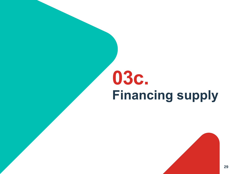# **Financing supply 03c.**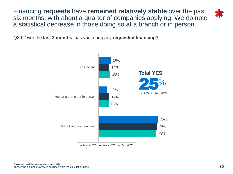Financing **requests** have **remained relatively stable** over the past six months, with about a quarter of companies applying. We do note a statistical decrease in those doing so at a branch or in person.



Q30. Over the **last 3 months**, has your company **requested financing**?

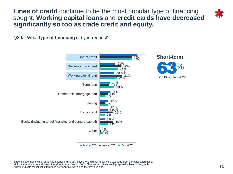**Lines of credit** continue to be the most popular type of financing sought. **Working capital loans** and **credit cards have decreased significantly so too as trade credit and equity.**

Q30a. What **type of financing** did you request?



**B** – **BDC** – **BDC** – **BDC** – **31 Base**: Respondents who requested financing (n=308). Those who did not know were excluded from the calculation base. Multiple mentions were allowed, therefore total exceeds 100%. Short-term options are highlighted in blue in the graph. Arrows indicate statistical differences between this wave and the previous one.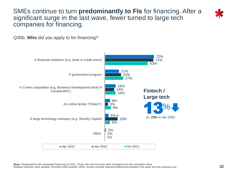SMEs continue to turn **predominantly to FIs** for financing. After a significant surge in the last wave, fewer turned to large tech companies for financing.





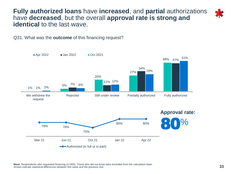**Fully authorized loans** have **increased**, and **partial** authorizations have **decreased**, but the overall **approval rate is strong and identical** to the last wave.

Q31. What was the **outcome** of this financing request?



**B** – **B** – **B** – **B** – *B – C* – *B – <i>B* – *B* – *B* – *B* – *B* – *B* **Base**: Respondents who requested financing (n=309). Those who did not know were excluded from the calculation base. Arrows indicate statistical differences between this wave and the previous one.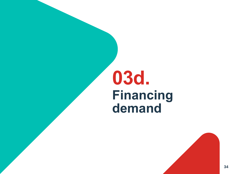## **Financing demand 03d.**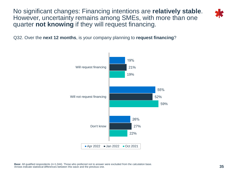No significant changes: Financing intentions are **relatively stable**. However, uncertainty remains among SMEs, with more than one quarter **not knowing** if they will request financing.





**B** – **B** – **B** – *BBC* – *BBC* – *BBC* – *BBC* – *BBC* – *BBC* – *BBC* **Base**: All qualified respondents (n=1,044). Those who preferred not to answer were excluded from the calculation base. Arrows indicate statistical differences between this wave and the previous one.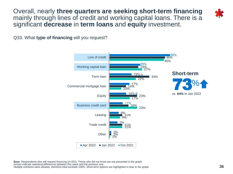Overall, nearly **three quarters are seeking short-term financing**  mainly through lines of credit and working capital loans. There is a significant **decrease** in **term loans** and **equity** investment.



Q33. What **type of financing** will you request?



Arrows indicate statistical differenties between this wave and the previous one.<br>Multiple mentions were allowed, therefore total exceeds 100%. Short-term options are highlighted in blue in the graph. **Base**: Respondents who will request financing (n=251). Those who did not know are not presented in the graph. Arrows indicate statistical differences between this wave and the previous one.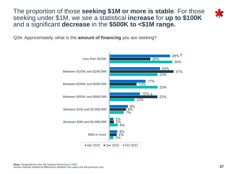The proportion of those **seeking \$1M or more is stable**. For those seeking under \$1M, we see a statistical **increase** for **up to \$100K**  and a significant **decrease** in the **\$500K to <\$1M range.**



Q34. Approximately, what is the **amount of financing** you are seeking?

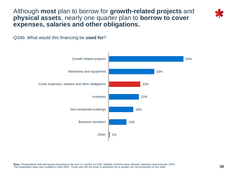Although **most** plan to borrow for **growth-related projects** and **physical assets**, nearly one quarter plan to **borrow to cover expenses, salaries and other obligations.**

Q34b. What would this financing be **used for**?

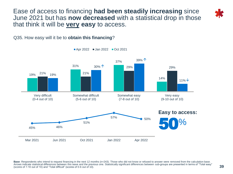Ease of access to financing **had been steadily increasing** since June 2021 but has **now decreased** with a statistical drop in those that think it will be **very easy** to access.





Apr 2022 Jan 2022 Oct 2021

Arrows indicate statistical differences between this wave and the previous one. Statistically significant differences between sub-groups are presented in terms of "Total easy" **39**<br>(scores of 7-10 out of 10) and "Total dif **Base**: Respondents who intend to request financing in the next 12 months (n=243). Those who did not know or refused to answer were removed from the calculation base. (scores of 7-10 out of 10) and "Total difficult" (scores of 0-6 out of 10).

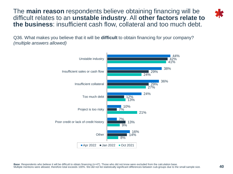The **main reason** respondents believe obtaining financing will be difficult relates to an **unstable industry**. All **other factors relate to the business**: insufficient cash flow, collateral and too much debt.



Q36. What makes you believe that it will be **difficult** to obtain financing for your company? *(multiple answers allowed)*

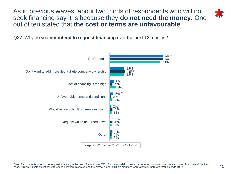As in previous waves, about two thirds of respondents who will not seek financing say it is because they **do not need the money**. One out of ten stated that **the cost or terms are unfavourable**.



Q37. Why do you **not intend to request financing** over the next 12 months?

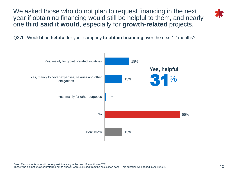We asked those who do not plan to request financing in the next year if obtaining financing would still be helpful to them, and nearly one third **said it would**, especially for **growth-related** projects.



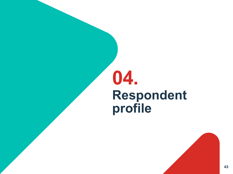## **Respondent profile 04.**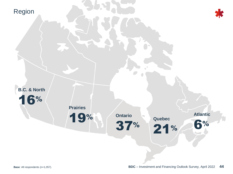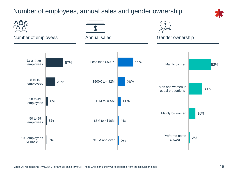### Number of employees, annual sales and gender ownership



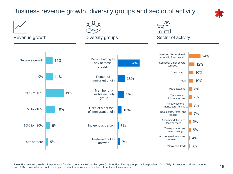### Business revenue growth, diversity groups and sector of activity